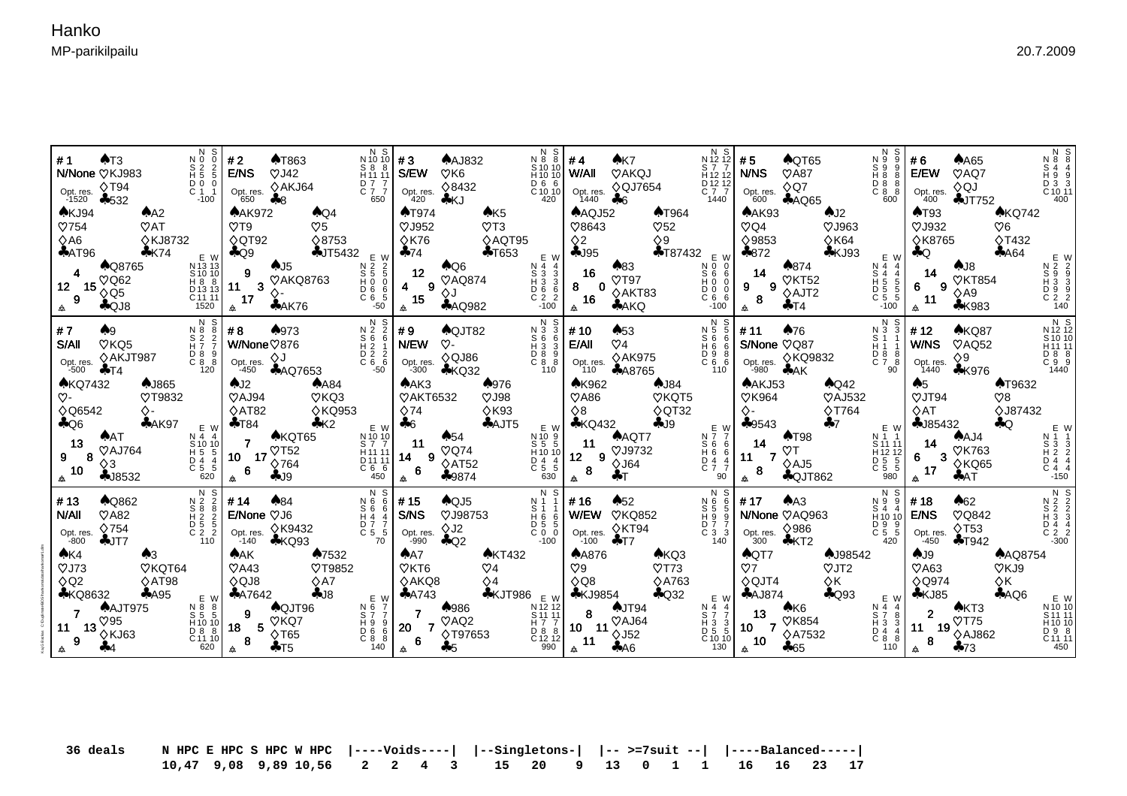Kaj G Backas C:\Duplimate\BOS\hankoma\data\hankoma#1.dlm

| $N$ S<br>$N$ S<br>AT3<br>#1<br>$\begin{array}{c} 8 & 2 & 2 \\ \text{H} & 5 & 5 \end{array}$<br>N/None VKJ983<br>$\overline{C}$ $\overline{0}$ $\overline{0}$<br>$\overline{0}$ $\overline{1}$ $\overline{1}$<br>Opt. res. $\Diamond$ T94<br>$-1520$ $+532$<br>$-100$<br>AKJ94<br>$A^2$<br>$\mathcal{O}754$<br>$\mathcal{O}AT$<br><b>◇KJ8732</b><br>$\Diamond$ A6<br>AAT96<br>$4$ K74 | $N_S$ $\begin{bmatrix} 0 & 0 \\ 1 & 0 \\ 0 & 1 \end{bmatrix}$ # 3<br>#2<br><b>AT863</b><br>E/NS<br>$\heartsuit$ J42<br>D 7 7<br>C 7 7<br>Opt. res. $\sqrt[6]{\text{AKJ64}}$ 650<br>650<br><b>AAK972</b><br>$A$ Q4<br>$\heartsuit 5$<br>$\heartsuit$ T9<br>$\Diamond$ QT92<br>$\Diamond$ 8753<br>$\clubsuit$ Q9<br>$\clubsuit$ JT5432 $E W$       | N S<br>N88<br>$A$ AJ832<br>$\begin{array}{ c c c c c }\n & 8 & 8 & 8 \\ \hline\n & 111 & 11 & 5/EW\n\end{array}$<br>$S$ 10 10<br>H 10 10<br>$\heartsuit$ K6<br>$\begin{bmatrix} 1 & 6 & 6 \\ 0 & 10 & 10 \\ 420 & 1 \end{bmatrix}$<br>♦8432<br>Opt. res.<br>420<br>♣KJ<br>AK5<br><b>AT974</b><br>$\heartsuit$ J952<br>$\mathcal{O}$ T3<br>$\Diamond$ K76<br>♦AQT95<br>$+T653$<br>$-74$ | #4<br>AK7<br>W/All<br>VAKQJ<br>H <sub>12</sub> 12<br>$\begin{bmatrix} 0 & 12 & 12 \\ 0 & 7 & 7 \\ 1440 & 1 \end{bmatrix}$<br>Opt. res. $\Diamond$ QJ7654<br>$1440$ $\clubsuit$ 6<br>$A\text{AQJ52}$<br><b>AT964</b><br>♡8643<br>$\heartsuit$ 52<br>$\Diamond$ 9<br>$\Diamond$ 2<br>$-195$<br>$\clubsuit$ T87432 E W                                                                                                                                                                                                                                                                                                                                 | #5<br>$\bigwedge$ QT65<br>N 9<br>S9<br><b>N/NS</b><br>$\heartsuit$ A87<br>H88<br>D 8 8<br>C 8 8<br>$\diamond$ Q7<br>Opt. res.<br>$600$ $\clubsuit$ AQ65<br>600<br>AAK93<br>AJ2<br>$\heartsuit$ J963<br>$\heartsuit$ Q4<br>♦9853<br>$\Diamond$ K64<br>\$872<br>$\clubsuit$ KJ93 | $\begin{array}{c} N & S \\ N & 8 \end{array}$<br>$A$ A65<br>#6<br>S 4 4<br>H 9 9<br>D 3 3<br>C 10 11<br>400<br>E/EW<br>$\heartsuit$ AQ7<br>$\Diamond QJ$<br>Opt. res.<br>400<br>$+JT752$<br>AT93<br>AKQ742<br>$\heartsuit$ J932<br>$\heartsuit6$<br><b>◇T432</b><br><b>◇K8765</b><br>AA64<br>$\clubsuit$ Q |
|--------------------------------------------------------------------------------------------------------------------------------------------------------------------------------------------------------------------------------------------------------------------------------------------------------------------------------------------------------------------------------------|--------------------------------------------------------------------------------------------------------------------------------------------------------------------------------------------------------------------------------------------------------------------------------------------------------------------------------------------------|----------------------------------------------------------------------------------------------------------------------------------------------------------------------------------------------------------------------------------------------------------------------------------------------------------------------------------------------------------------------------------------|-----------------------------------------------------------------------------------------------------------------------------------------------------------------------------------------------------------------------------------------------------------------------------------------------------------------------------------------------------------------------------------------------------------------------------------------------------------------------------------------------------------------------------------------------------------------------------------------------------------------------------------------------------|--------------------------------------------------------------------------------------------------------------------------------------------------------------------------------------------------------------------------------------------------------------------------------|------------------------------------------------------------------------------------------------------------------------------------------------------------------------------------------------------------------------------------------------------------------------------------------------------------|
| E W<br>N 13 13<br>S 10 10<br>H 8 8<br>D 13 13<br>C 11 11<br>1520<br><b>AQ8765</b><br>$\overline{\mathbf{4}}$<br>$\heartsuit$ Q62<br>15 $\stackrel{\textstyle\vee}{\diamond}$ Q5<br>12 <sup>7</sup><br>9<br>$A$ QJ8                                                                                                                                                                   | 2<br>CDH0<br>CONDOS<br>CONDOS<br>CONDOS<br>$\begin{array}{c c}\n & \rightarrow & \bullet & 15 \\ \hline\n\end{array}$ (11 3 $\begin{array}{c}\n\bullet & 15 \\ \bullet & \bullet & \bullet \\ \hline\n\end{array}$<br>(17 3 $\begin{array}{c}\n\bullet & \bullet & \bullet \\ \bullet & \bullet & \bullet\n\end{array}$                          | E W<br>$\bigwedge$ Q6<br>$\begin{array}{c}\nN & 4 & 4 \\ S & 3 & 3 \\ H & 3 & 3 \\ D & 6 & 6 \\ C & 2 & 2\n\end{array}$<br>12<br><b>VAQ874</b><br>$4 \quad 9$<br>$\Diamond J$<br>15<br>$\triangle$<br><b>AAQ982</b><br>$-100$                                                                                                                                                          | $\clubsuit$ 83<br>16<br>$\heartsuit$ T97<br>8<br>$\Omega$<br>♦AKT83<br>C66<br>16<br><b>AAKQ</b><br>$-100$<br>会                                                                                                                                                                                                                                                                                                                                                                                                                                                                                                                                      | E W<br>$\clubsuit 874$<br>N 4 4<br>14<br>$S$ 4 4<br>VKT52<br>H 5<br>5<br>$9 \qquad 9$<br>D 5 5<br>$\diamond$ AJT2<br>$\overline{C}$ 5 5<br>8<br>$+T4$<br>$-100$<br>会                                                                                                           | AJB<br>14<br><b>VKT854</b><br>$6\qquad9$<br>$\diamond$ A9<br>11<br><b>*K983</b>                                                                                                                                                                                                                            |
| N S<br>#7<br>$N^3 8 2 8$<br>S 2 2 2<br>H 7 7<br>A9<br>$\sqrt{V}$ KQ5<br>S/All<br>$\left[\begin{smallmatrix} 0 & 8 & 9 \\ 0 & 8 & 8 \end{smallmatrix}\right]$<br>◇AKJT987<br>Opt. res.<br>-500<br>120<br>$+T4$                                                                                                                                                                        | N S<br>♠973<br>#8<br>$\begin{array}{ccc}\nN & 2 & 2 \\ S & 6 & 6\n\end{array}$<br>W/None♡876<br>$H_2$ 1<br>$\begin{array}{ccc}\n\stackrel{\cdot}{\mathbf{D}} & \stackrel{\cdot}{\mathbf{2}} & \stackrel{\cdot}{\mathbf{2}} \\ \mathbf{C} & \mathbf{6} & \mathbf{6}\n\end{array}$<br>Opt. res. $\diamondsuit J$<br>-450 $\clubsuit$ AQ7653<br>-50 | N S<br>#9<br>♠QJT82<br>$N3$<br>S <sub>6</sub> 6<br>H <sub>3</sub> 3<br>$\infty$<br><b>N/EW</b><br>$\overline{C}$ $\overline{8}$ $\overline{8}$ $\overline{8}$<br>$\Diamond$ QJ86<br>Opt. res.<br>-300<br>$\clubsuit$ KQ32<br>110                                                                                                                                                       | N S<br>$\clubsuit 53$<br># 10<br>N 5<br>-5<br>S <sub>6</sub><br>E/All<br>$\heartsuit$ 4<br>$H\ddot{\delta}$ $\ddot{\delta}$<br>$\left[\begin{array}{ccc} 0 & 9 & 8 \\ 0 & 6 & 6 \\ 110 & 1 \end{array}\right]$<br>♦AK975<br>Opt. res.<br>110<br><b>AA8765</b>                                                                                                                                                                                                                                                                                                                                                                                       | N S<br>$\clubsuit$ 76<br>#11<br>N 3 3<br>S/None VQ87<br>H11<br>D 8 8<br>C 7 8<br>90                                                                                                                                                                                            | N S<br>N 12 12<br>S 10 10<br>H 11 11<br>D 8 8<br>C 9 9<br>1440<br>AKQ87<br>#12<br>W/NS<br>$\heartsuit$ AQ52<br>$\diamond$ 9<br>Opt. res.<br>$1440$ $\&$ K976                                                                                                                                               |
| <b>AKQ7432</b><br>AJ865<br>$\infty$ -<br>VT9832<br><b>◇Q6542</b><br>∧-<br>AAK97<br>$\clubsuit$ Q6<br>E W                                                                                                                                                                                                                                                                             | AJ2<br>$A$ A84<br>$\heartsuit$ KQ3<br>$\heartsuit$ AJ94<br>$\Diamond$ AT82<br><b>◇KQ953</b><br>K2<br>$+T84$<br>E W                                                                                                                                                                                                                               | AAK3<br>♦976<br><b>VAKT6532</b><br>$\heartsuit$ J98<br>$\Diamond$ 74<br>$\Diamond$ K93<br>$A$ AJT5<br>$+6$<br>E W                                                                                                                                                                                                                                                                      | <b>AK962</b><br>$A$ J84<br>$\heartsuit$ A86<br>VKQT5<br>$\Diamond$ QT32<br>$\Diamond$ 8<br><b>*KQ432</b><br>$-19$<br>E W                                                                                                                                                                                                                                                                                                                                                                                                                                                                                                                            | AAKJ53<br>$\bigwedge$ Q42<br>$\heartsuit$ K964<br>$\heartsuit$ AJ532<br><b>◇T764</b><br>♦.<br>$\clubsuit 9543$<br>$\clubsuit$ 7<br>E W                                                                                                                                         | <b>AT9632</b><br>A <sub>5</sub><br>$\heartsuit$ JT94<br>$\heartsuit$ 8<br>$\Diamond$ AT<br><b>◇J87432</b><br>$-185432$<br>$\bigcirc$<br>E W                                                                                                                                                                |
| AAT<br>N 4 4<br>13<br>S 10 10<br>$\heartsuit$ AJ764<br>H 5 5<br>D 4 4<br>C 5 5<br>620<br>8<br>9<br>$\Diamond$ 3<br>10 <sup>1</sup><br>$-18532$                                                                                                                                                                                                                                       | $N$ 10 10<br>$\triangle$ KQT65<br>7 <sup>7</sup><br>$\begin{bmatrix} 5 & 7 & 7 \\ 111 & 11 \end{bmatrix}$<br>$\begin{array}{ccc} 1 & 0 & 17 \\ 10 & 17 & 0 \\ & 6 & 0 & 0 \\ \end{array}$<br>$\begin{array}{c} 11111 \\ 01111 \\ 066 \\ 450 \end{array}$<br>$-19$<br>会                                                                           | N 10 9<br>$\clubsuit 54$<br>-11<br>$S\ 5\ 5$<br>$H\ 10\ 10$<br>$\heartsuit$ Q74<br>$14$ 9 $\overline{\diamond}$ $\overline{AT52}$<br>$\overline{D}$ 4 4<br>$\overline{C}$ 5 5<br>-6<br>$\triangle$<br>$*9874$<br>630                                                                                                                                                                   | N 7 7<br><b>AAQT7</b><br>11<br>$\begin{array}{c} 8666 \\ H66 \end{array}$<br>VJ9732<br>$12 \qquad 9$<br>$\overline{D}$ 4 4<br>$\diamond$ J64<br>$C$ $7$ $7$<br>8<br>$+T$<br>90<br>▲                                                                                                                                                                                                                                                                                                                                                                                                                                                                 | $\spadesuit$ T98<br>N 1 1<br>14<br>S 11 11<br>$\heartsuit$ T<br>$\begin{bmatrix} 1 & 1 & 2 & 12 \\ 0 & 5 & 5 \\ 0 & 5 & 5 \end{bmatrix}$<br>11 7 $\vee$ AJ5<br>8<br><b>AQJT862</b><br>980                                                                                      | $N\bar{1}$ 1<br>$A$ AJ4<br>14<br>$\begin{array}{c} 13 & 3 \\ 12 & 2 \\ 12 & 4 \\ 2 & 4 \\ 3 & -2 \end{array}$<br><b>VK763</b><br>$6 - 3 \overset{\vee}{\underset{\smile}{\wedge}}$ KQ65<br>AAT<br>$-150$                                                                                                   |
| N S<br>$\bigstar$ Q862<br>#13<br>$\heartsuit$ A82<br>N/All<br>$\Diamond$ 754<br>Opt. res.<br>$-800$<br>$+JT7$                                                                                                                                                                                                                                                                        | N S<br>$\clubsuit 84$<br>N 6 6<br># 14<br>S 6 6<br>H 4 4<br>E/None VJ6<br>D 7 7<br>C 5 5<br>Opt. res. $\Diamond$ K9432<br>$-140$ $\clubsuit$ KQ93<br>70                                                                                                                                                                                          | N S<br>#15<br>$A$ QJ5<br>N 1 1<br>S/NS<br>VJ98753<br>H66<br>$\begin{bmatrix} 0 & 5 & 5 \\ 0 & 0 & 0 \end{bmatrix}$<br>$\Diamond$ J2<br>Opt. res.<br>-990<br>$-100$<br>$\bigcirc$ 2                                                                                                                                                                                                     | N S<br>$\clubsuit 52$<br>#16<br>N 6<br>W/EW VKQ852<br>H99<br>$\begin{bmatrix} 0 & 7 & 7 \\ 0 & 3 & 3 \\ 140 & 0 \end{bmatrix}$                                                                                                                                                                                                                                                                                                                                                                                                                                                                                                                      | N S<br>N99<br>$A^A$<br>#17<br>N/None VAQ963<br>$H_{10}^{4}$ 10 <b>E/NS</b><br>$\begin{array}{ccc} D & 9 & 9 \\ C & 5 & 5 \end{array}$<br>420                                                                                                                                   | A62<br>#18<br><b>VQ842</b><br>$\begin{array}{ccc} 0 & 4 & 4 \\ 0 & 2 & 2 \\ -300 & & \end{array}$<br>$\lozenge$ T53<br>Opt. res.<br>$-450$<br>$+T942$                                                                                                                                                      |
| A K4<br>$\bigwedge$<br>$\heartsuit$ J73<br><b>VKQT64</b><br>♦AT98<br>$\Diamond$ Q2<br><b>*KQ8632</b><br>$+A95$<br>E W                                                                                                                                                                                                                                                                | AAK<br>♦7532<br>$\mathcal{O}$ A43<br><b>VT9852</b><br>$\diamond$ A7<br>$\Diamond QJB$<br>$-18$<br>$A$ A7642                                                                                                                                                                                                                                      | <b>AKT432</b><br>AA7<br>$\heartsuit$ KT6<br>$\heartsuit$ 4<br>$\diamond$ AKQ8<br>$\diamond$ 4<br>$\triangle$ KJT986 $E$ W<br>$A$ A743                                                                                                                                                                                                                                                  | <b>AA876</b><br>AKQ3<br>$\mathcal{O}$ T73<br>$\heartsuit9$<br><b>◇A763</b><br>$\Diamond$ Q8<br>$A$ Q32<br><b>*KJ9854</b><br>E W                                                                                                                                                                                                                                                                                                                                                                                                                                                                                                                     | AQT7<br><b>AJ98542</b><br>O7<br>$\heartsuit$ JT2<br>$\Diamond$ QJT4<br>$\Diamond K$<br>$A$ Q93<br>$A$ AJ874<br>E W                                                                                                                                                             | AJ9<br><b>AAQ8754</b><br>$\mathcal{O}$ A63<br>$V$ KJ9<br>$\Diamond$ Q974<br>$\Diamond K$<br>AQQ6<br>KJ85                                                                                                                                                                                                   |
| <b>AAJT975</b><br>$11\begin{array}{l} 13 \bigcirc 95 \\ 0 \bigcirc 13 \bigcirc 163 \end{array}$<br>9<br>44                                                                                                                                                                                                                                                                           | N & Y<br>$\bigwedge$ QJT96<br>$R = 8$<br>S 5 5<br>H 10 10<br>C 11 10<br>620<br>4 8<br>$\vert$ 18 $^9$ 5 $\sqrt[6]{165}$<br>$+T5$                                                                                                                                                                                                                 | ♠986<br>$\left[\begin{array}{c} 8 & 7 \\ 5 & 7 \\ D & 9 \\ D & 6 \\ C & 8 \\ C & 140 \end{array}\right]$ 20 7<br>20 $\begin{array}{c} 7 \ \end{array}$ 7 $\begin{array}{c} \bigcirc AQ2 \\ \bigcirc T97653 \end{array}$<br>$+5$                                                                                                                                                        | $\begin{array}{c c}\n\text{N} & \text{B} & \text{N} \\ \text{S} & \text{S} & \text{S} \\ \text{H} & \text{S} & \text{S} \\ \text{H} & \text{S} & \text{S} \\ \text{D} & \text{S} & \text{S} \\ \text{D} & \text{S} & \text{S} \\ \text{D} & \text{S} & \text{S}\n\end{array}$ 11 $\begin{array}{c}\n\text{A} & \text{J} & \text{T} & \text{S} \\ \text{A} & \text{S} & \text{S} \\ \text{A} & \text{S} & \text{S} \\ \text{A} &$<br>$N\frac{4}{5}$ $\frac{4}{7}$<br>$H\frac{3}{3}$<br>$\overline{D}$ 5 5<br>$\left[\begin{array}{c} 12 & 12 \\ 990 & 4 \end{array}\right]$ 11<br>$\left[\begin{array}{c} 2 & 10 \\ 1 & 30 \end{array}\right]$<br>A6 | AK6<br>N 4 4<br>$13 - \sqrt[3]{1854}$<br>S 7 8<br>H 3 3<br>10 7 $\sqrt[3]{47532}$<br>D 4 4<br>C 8 8<br>10 <sub>1</sub><br>$\triangle$<br>$+65$<br>110                                                                                                                          | E W<br>N 10 10<br>S 11 11<br>H 10 10<br>D 9 8<br>C 11 11<br>450<br>AKT3<br>2 <sup>7</sup><br>11 $^{2}$ 19 $\sqrt[{\circ}775]{19}$ $\sqrt[{\circ}4 \cdot 1862}$<br>8 <sup>1</sup><br>$-73$<br><b>A</b>                                                                                                      |

 **36 deals N HPC E HPC S HPC W HPC |----Voids----| |--Singletons-| |-- >=7suit --| |----Balanced-----| 10,47 9,08 9,89 10,56 2 2 4 3 15 20 9 13 0 1 1 16 16 23 17**